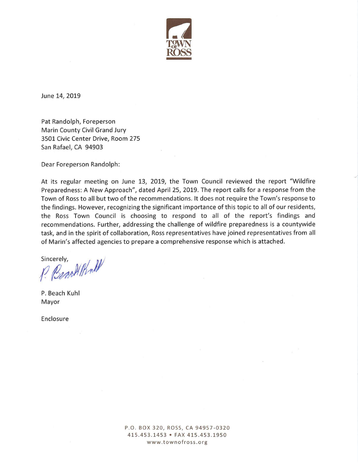

June 14, 2019

Pat Randolph, Foreperson Marin County Civil Grand Jury 3501 Civic Center Drive, Room 275 San Rafael, CA 94903

Dear Foreperson Randolph:

At its regular meeting on June 13, 2019, the Town Council reviewed the report "Wildfire Preparedness: A New Approach", dated April 25, 2019. The report calls for a response from the Town of Ross to all but two of the recommendations. It does not require the Town's response to the findings. However, recognizing the significant importance of this topic to all of our residents, the Ross Town Council is choosing to respond to all of the report's findings and recommendations. Further, addressing the challenge of wildfire preparedness is a countywide task, and in the spirit of collaboration, Ross representatives have joined representatives from all of Marin's affected agencies to prepare a comprehensive response which is attached.

Sincerely, Benofilthall

P. Beach Kuhl Mayor

Enclosure

P.O. BOX 320, ROSS, CA 94957-0320 415.453.1453 • FAX 415.453.1950 www.townofross.org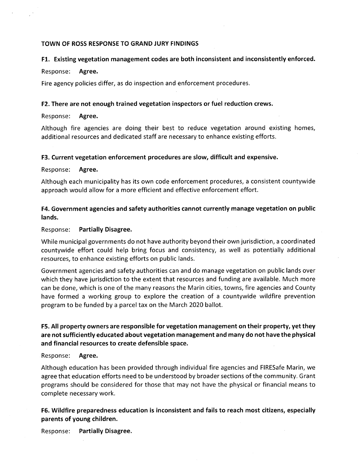#### **TOWN OF ROSS RESPONSE TO GRAND JURY FINDINGS**

#### **Fl. Existing vegetation management codes are both inconsistent and inconsistently enforced.**

#### Response: **Agree.**

Fire agency policies differ, as do inspection and enforcement procedures.

#### **F2. There are not enough trained vegetation inspectors or fuel reduction crews.**

#### Response: **Agree.**

Although fire agencies are doing their best to reduce vegetation around existing homes, additional resources and dedicated staff are necessary to enhance existing efforts.

#### **F3. Current vegetation enforcement procedures are slow, difficult and expensive.**

#### Response: **Agree.**

Although each municipality has its own code enforcement procedures, a consistent countywide approach would allow for a more efficient and effective enforcement effort.

### **F4. Government agencies and safety authorities cannot currently manage vegetation on public lands.**

#### Response: **Partially Disagree.**

While municipal governments do not have authority beyond their own jurisdiction, a coordinated countywide effort could help bring focus and consistency, as well as potentially additional resources, to enhance existing efforts on public lands.

Government agencies and safety authorities can and do manage vegetation on public lands over which they have jurisdiction to the extent that resources and funding are available. Much more can be done, which is one of the many reasons the Marin cities, towns, fire agencies and County have formed a working group to explore the creation of a countywide wildfire prevention program to be funded by a parcel tax on the March 2020 ballot.

# **F5. All property owners are responsible for vegetation management on their property, yet they are not sufficiently educated about vegetation management and many do not have the physical and financial resources to create defensible space.**

#### Response: **Agree.**

Although education has been provided through individual fire agencies and FIRESafe Marin, we agree that education efforts need to be understood by broader sections of the community. Grant programs should be considered for those that may not have the physical or financial means to complete necessary work.

## **F6. Wildfire preparedness education is inconsistent and fails to reach most citizens, especially parents of young children.**

Response: **Partially Disagree.**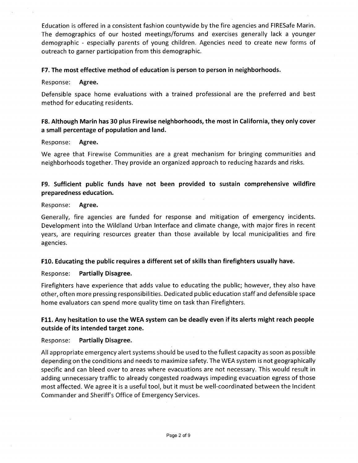Education is offered in a consistent fashion countywide by the fire agencies and FIRESafe Mann. The demographics of our hosted meetings/forums and exercises generally lack a younger demographic - especially parents of young children. Agencies need to create new forms of outreach to garner participation from this demographic.

### **F7. The most effective method of education is person to person in neighborhoods.**

Response: **Agree.** 

Defensible space home evaluations with a trained professional are the preferred and best method for educating residents.

## F8. Although Marin has 30 plus Firewise neighborhoods, the most in California, they only cover **a small percentage of population and land.**

### Response: **Agree.**

We agree that Firewise Communities are a great mechanism for bringing communities and neighborhoods together. They provide an organized approach to reducing hazards and risks.

# **F9. Sufficient public funds have not been provided to sustain comprehensive wildfire preparedness education.**

### Response: **Agree.**

Generally, fire agencies are funded for response and mitigation of emergency incidents. Development into the Wildland Urban Interface and climate change, with major fires in recent years, are requiring resources greater than those available by local municipalities and fire agencies.

### **F10. Educating the public requires a different set of skills than firefighters usually have.**

### Response: **Partially Disagree.**

Firefighters have experience that adds value to educating the public; however, they also have other, often more pressing responsibilities. Dedicated public education staff and defensible space home evaluators can spend more quality time on task than Firefighters.

# **F11. Any hesitation to use the WEA system can be deadly even if its alerts might reach people outside of its intended target zone.**

### Response: **Partially Disagree.**

All appropriate emergency alert systems should be used to the fullest capacity as soon as possible depending on the conditions and needs to maximize safety. The WEA system is not geographically specific and can bleed over to areas where evacuations are not necessary. This would result in adding unnecessary traffic to already congested roadways impeding evacuation egress of those most affected. We agree it is a useful tool, but it must be well-coordinated between the Incident Commander and Sheriff's Office of Emergency Services.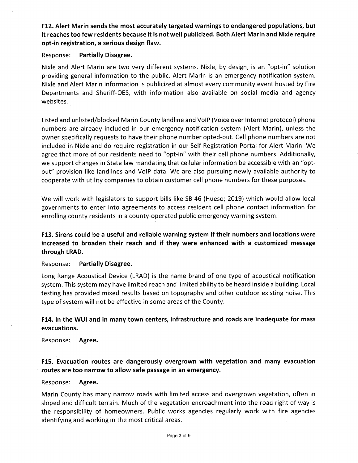F12. Alert Marin sends the most accurately targeted warnings to endangered populations, but it reaches too few residents because it is not well publicized. Both Alert Marin and Nixle require **opt-in registration, a serious design flaw.** 

#### Response: **Partially Disagree.**

Nixle and Alert Marin are two very different systems. Nixle, by design, is an "opt-in" solution providing general information to the public. Alert Marin is an emergency notification system. Nixle and Alert Marin information is publicized at almost every community event hosted by Fire Departments and Sheriff-OES, with information also available on social media and agency websites.

Listed and unlisted/blocked Marin County landline and VolP (Voice over Internet protocol) phone numbers are already included in our emergency notification system (Alert Marin), unless the owner specifically requests to have their phone number opted-out. Cell phone numbers are not included in Nixle and do require registration in our Self-Registration Portal for Alert Marin. We agree that more of our residents need to "opt-in" with their cell phone numbers. Additionally, we support changes in State law mandating that cellular information be accessible with an "optout" provision like landlines and VolP data. We are also pursuing newly available authority to cooperate with utility companies to obtain customer cell phone numbers for these purposes.

We will work with legislators to support bills like SB 46 (Hueso; 2019) which would allow local governments to enter into agreements to access resident cell phone contact information for enrolling county residents in a county-operated public emergency warning system.

**F13. Sirens could be a useful and reliable warning system if their numbers and locations were increased to broaden their reach and if they were enhanced with a customized message through LRAD.** 

Response: **Partially Disagree.** 

Long Range Acoustical Device (LRAD) is the name brand of one type of acoustical notification system. This system may have limited reach and limited ability to be heard inside a building. Local testing has provided mixed results based on topography and other outdoor existing noise. This type of system will not be effective in some areas of the County.

# **F14. In the WUI and in many town centers, infrastructure and roads are inadequate for mass evacuations.**

Response: **Agree.** 

# **F15. Evacuation routes are dangerously overgrown with vegetation and many evacuation routes are too narrow to allow safe passage in an emergency.**

#### Response: **Agree.**

Marin County has many narrow roads with limited access and overgrown vegetation, often in sloped and difficult terrain. Much of the vegetation encroachment into the road right of way is the responsibility of homeowners. Public works agencies regularly work with fire agencies identifying and working in the most critical areas.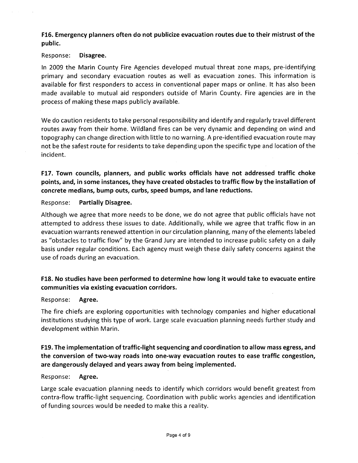**F16. Emergency planners often do not publicize evacuation routes due to their mistrust of the public.** 

### Response: **Disagree.**

In 2009 the Marin County Fire Agencies developed mutual threat zone maps, pre-identifying primary and secondary evacuation routes as well as evacuation zones. This information is available for first responders to access in conventional paper maps or online. It has also been made available to mutual aid responders outside of Marin County. Fire agencies are in the process of making these maps publicly available.

We do caution residents to take personal responsibility and identify and regularly travel different routes away from their home. Wildland fires can be very dynamic and depending on wind and topography can change direction with little to no warning. A pre-identified evacuation route may not be the safest route for residents to take depending upon the specific type and location of the incident.

**F17. Town councils, planners, and public works officials have not addressed traffic choke points, and, in some instances, they have created obstacles to traffic flow by the installation of concrete medians, bump outs, curbs, speed bumps, and lane reductions.** 

Response: **Partially Disagree.** 

Although we agree that more needs to be done, we do not agree that public officials have not attempted to address these issues to date. Additionally, while we agree that traffic flow in an evacuation warrants renewed attention in our circulation planning, many of the elements labeled as "obstacles to traffic flow" by the Grand Jury are intended to increase public safety on a daily basis under regular conditions. Each agency must weigh these daily safety concerns against the use of roads during an evacuation.

# **F18. No studies have been performed to determine how long it would take to evacuate entire communities via existing evacuation corridors.**

## Response: **Agree.**

The fire chiefs are exploring opportunities with technology companies and higher educational institutions studying this type of work. Large scale evacuation planning needs further study and development within Marin.

# **F19. The implementation of traffic-light sequencing and coordination to allow mass egress, and the conversion of two-way roads into one-way evacuation routes to ease traffic congestion, are dangerously delayed and years away from being implemented.**

## Response: **Agree.**

Large scale evacuation planning needs to identify which corridors would benefit greatest from contra-flow traffic-light sequencing. Coordination with public works agencies and identification of funding sources would be needed to make this a reality.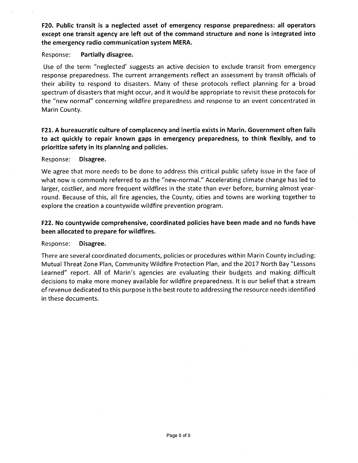**F20. Public transit is a neglected asset of emergency response preparedness: all operators except one transit agency are left out of the command structure and none is integrated into the emergency radio communication system MERA.** 

#### Response: **Partially disagree.**

Use of the term "neglected' suggests an active decision to exclude transit from emergency response preparedness. The current arrangements reflect an assessment by transit officials of their ability to respond to disasters. Many of these protocols reflect planning for a broad spectrum of disasters that might occur, and it would be appropriate to revisit these protocols for the "new normal" concerning wildfire preparedness and response to an event concentrated in Marin County.

# F21. A bureaucratic culture of complacency and inertia exists in Marin. Government often fails **to act quickly to repair known gaps in emergency preparedness, to think flexibly, and to prioritize safety in its planning and policies.**

#### Response: **Disagree.**

We agree that more needs to be done to address this critical public safety issue in the face of what now is commonly referred to as the "new-normal." Accelerating climate change has led to larger, costlier, and more frequent wildfires in the state than ever before, burning almost yearround. Because of this, all fire agencies, the County, cities and towns are working together to explore the creation a countywide wildfire prevention program.

## **F22. No countywide comprehensive, coordinated policies have been made and no funds have been allocated to prepare for wildfires.**

#### Response: **Disagree.**

There are several coordinated documents, policies or procedures within Marin County including: Mutual Threat Zone Plan, Community Wildfire Protection Plan, and the 2017 North Bay "Lessons Learned" report. All of Marin's agencies are evaluating their budgets and making difficult decisions to make more money available for wildfire preparedness. It is our belief that a stream of revenue dedicated to this purpose is the best route to addressing the resource needs identified in these documents.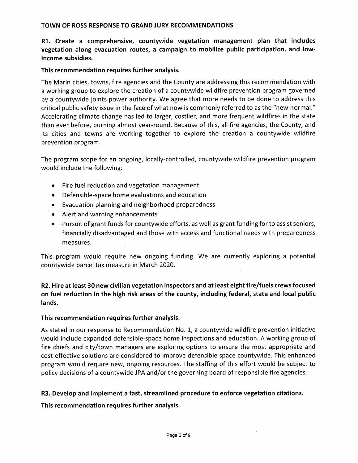#### **TOWN OF ROSS RESPONSE TO GRAND JURY RECOMMENDATIONS**

**Rl. Create a comprehensive, countywide vegetation management plan that includes vegetation along evacuation routes, a campaign to mobilize public participation, and lowincome subsidies.** 

### **This recommendation requires further analysis.**

The Marin cities, towns, fire agencies and the County are addressing this recommendation with a working group to explore the creation of a countywide wildfire prevention program governed by a countywide joints power authority. We agree that more needs to be done to address this critical public safety issue in the face of what now is commonly referred to as the "new-normal." Accelerating climate change has led to larger, costlier, and more frequent wildfires in the state than ever before, burning almost year-round. Because of this, all fire agencies, the County, and its cities and towns are working together to explore the creation a countywide wildfire prevention program.

The program scope for an ongoing, locally-controlled, countywide wildfire prevention program would include the following:

- Fire fuel reduction and vegetation management
- Defensible-space home evaluations and education
- Evacuation planning and neighborhood preparedness
- Alert and warning enhancements
- Pursuit of grant funds for countywide efforts, as well as grant funding for to assist seniors, financially disadvantaged and those with access and functional needs with preparedness measures.

This program would require new ongoing funding. We are currently exploring a potential countywide parcel tax measure in March 2020.

# **R2. Hire at least 30 new civilian vegetation inspectors and at least eight fire/fuels crews focused on fuel reduction in the high risk areas of the county, including federal, state and local public lands.**

### **This recommendation requires further analysis.**

As stated in our response to Recommendation No. 1, a countywide wildfire prevention initiative would include expanded defensible-space home inspections and education. A working group of fire chiefs and city/town managers are exploring options to ensure the most appropriate and cost-effective solutions are considered to improve defensible space countywide. This enhanced program would require new, ongoing resources. The staffing of this effort would be subject to policy decisions of a countywide JPA and/or the governing board of responsible fire agencies.

### **R3. Develop and implement a fast, streamlined procedure to enforce vegetation citations.**

**This recommendation requires further analysis.**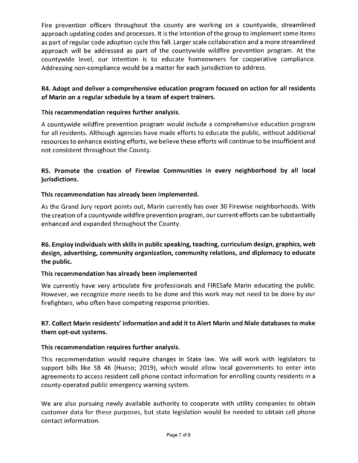Fire prevention officers throughout the county are working on a countywide, streamlined approach updating codes and processes. It is the intention of the group to implement some items as part of regular code adoption cycle this fall. Larger scale collaboration and a more streamlined approach will be addressed as part of the countywide wildfire prevention program. At the countywide level, our intention is to educate homeowners for cooperative compliance. Addressing non-compliance would be a matter for each jurisdiction to address.

# **R4. Adopt and deliver a comprehensive education program focused on action for all residents**  of Marin on a regular schedule by a team of expert trainers.

## **This recommendation requires further analysis.**

A countywide wildfire prevention program would include a comprehensive education program for all residents. Although agencies have made efforts to educate the public, without additional resources to enhance existing efforts, we believe these efforts will continue to be insufficient and not consistent throughout the County.

**R5. Promote the creation of Firewise Communities in every neighborhood by all local jurisdictions.** 

## **This recommendation has already been implemented.**

As the Grand Jury report points out, Marin currently has over 30 Firewise neighborhoods. With the creation of a countywide wildfire prevention program, our current efforts can be substantially enhanced and expanded throughout the County.

**R6. Employ individuals with skills in public speaking, teaching, curriculum design, graphics, web design, advertising, community organization, community relations, and diplomacy to educate the public.** 

## **This recommendation has already been implemented**

We currently have very articulate fire professionals and FIRESafe Marin educating the public. However, we recognize more needs to be done and this work may not need to be done by our firefighters, who often have competing response priorities.

# R7. Collect Marin residents' information and add it to Alert Marin and Nixle databases to make **them opt-out systems.**

## **This recommendation requires further analysis.**

This recommendation would require changes in State law. We will work with legislators to support bills like SB 46 (Hueso; 2019), which would allow local governments to enter into agreements to access resident cell phone contact information for enrolling county residents in a county-operated public emergency warning system.

We are also pursuing newly available authority to cooperate with utility companies to obtain customer data for these purposes, but state legislation would be needed to obtain cell phone contact information.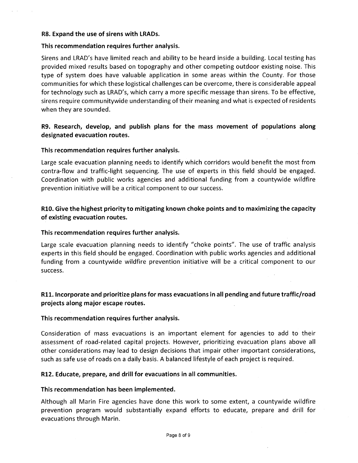#### **R8. Expand the use of sirens with LRADs.**

#### **This recommendation requires further analysis.**

Sirens and LRAD's have limited reach and ability to be heard inside a building. Local testing has provided mixed results based on topography and other competing outdoor existing noise. This type of system does have valuable application in some areas within the County. For those communities for which these logistical challenges can be overcome, there is considerable appeal for technology such as LRAD's, which carry a more specific message than sirens. To be effective, sirens require communitywide understanding of their meaning and what is expected of residents when they are sounded.

## **R9. Research, develop, and publish plans for the mass movement of populations along designated evacuation routes.**

#### **This recommendation requires further analysis.**

Large scale evacuation planning needs to identify which corridors would benefit the most from contra-flow and traffic-light sequencing. The use of experts in this field should be engaged. Coordination with public works agencies and additional funding from a countywide wildfire prevention initiative will be a critical component to our success.

# **R10. Give the highest priority to mitigating known choke points and to maximizing the capacity of existing evacuation routes.**

#### **This recommendation requires further analysis.**

Large scale evacuation planning needs to identify "choke points". The use of traffic analysis experts in this field should be engaged. Coordination with public works agencies and additional funding from a countywide wildfire prevention initiative will be a critical component to our success.

# **R11. Incorporate and prioritize plans for mass evacuations in all pending and future traffic/road projects along major escape routes.**

### **This recommendation requires further analysis.**

Consideration of mass evacuations is an important element for agencies to add to their assessment of road-related capital projects. However, prioritizing evacuation plans above all other considerations may lead to design decisions that impair other important considerations, such as safe use of roads on a daily basis. A balanced lifestyle of each project is required.

#### **R12. Educate, prepare, and drill for evacuations in all communities.**

#### **This recommendation has been implemented.**

Although all Marin Fire agencies have done this work to some extent, a countywide wildfire prevention program would substantially expand efforts to educate, prepare and drill for evacuations through Marin.